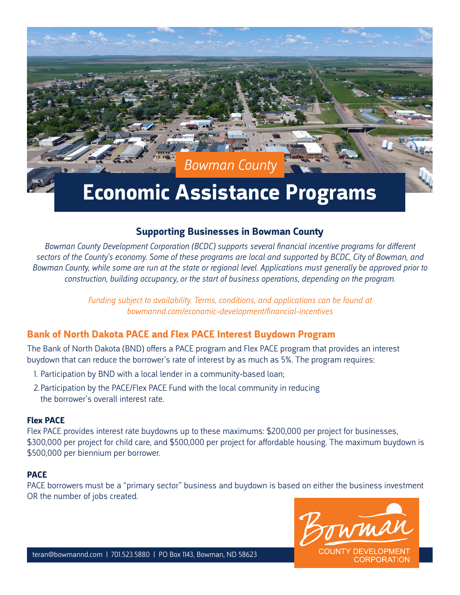*Bowman County*

# **Economic Assistance Programs**

## **Supporting Businesses in Bowman County**

*Bowman County Development Corporation (BCDC) supports several financial incentive programs for different sectors of the County's economy. Some of these programs are local and supported by BCDC, City of Bowman, and Bowman County, while some are run at the state or regional level. Applications must generally be approved prior to construction, building occupancy, or the start of business operations, depending on the program.*

> *Funding subject to availability. Terms, conditions, and applications can be found at bowmannd.com/economic-development/financial-incentives*

# **Bank of North Dakota PACE and Flex PACE Interest Buydown Program**

The Bank of North Dakota (BND) offers a PACE program and Flex PACE program that provides an interest buydown that can reduce the borrower's rate of interest by as much as 5%. The program requires:

- 1. Participation by BND with a local lender in a community-based loan;
- 2.Participation by the PACE/Flex PACE Fund with the local community in reducing the borrower's overall interest rate.

#### **Flex PACE**

Flex PACE provides interest rate buydowns up to these maximums: \$200,000 per project for businesses, \$300,000 per project for child care, and \$500,000 per project for affordable housing. The maximum buydown is \$500,000 per biennium per borrower.

#### **PACE**

PACE borrowers must be a "primary sector" business and buydown is based on either the business investment OR the number of jobs created.

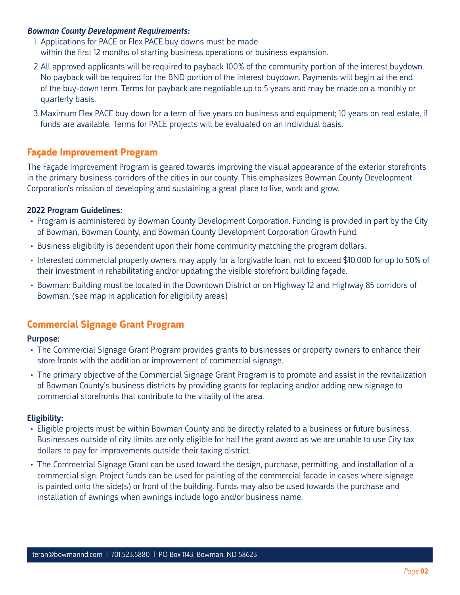#### *Bowman County Development Requirements:*

1. Applications for PACE or Flex PACE buy downs must be made within the first 12 months of starting business operations or business expansion.

- 2.All approved applicants will be required to payback 100% of the community portion of the interest buydown. No payback will be required for the BND portion of the interest buydown. Payments will begin at the end of the buy-down term. Terms for payback are negotiable up to 5 years and may be made on a monthly or quarterly basis.
- 3.Maximum Flex PACE buy down for a term of five years on business and equipment; 10 years on real estate, if funds are available. Terms for PACE projects will be evaluated on an individual basis.

# **Façade Improvement Program**

The Façade Improvement Program is geared towards improving the visual appearance of the exterior storefronts in the primary business corridors of the cities in our county. This emphasizes Bowman County Development Corporation's mission of developing and sustaining a great place to live, work and grow.

## 2022 Program Guidelines:

- Program is administered by Bowman County Development Corporation. Funding is provided in part by the City of Bowman, Bowman County, and Bowman County Development Corporation Growth Fund.
- Business eligibility is dependent upon their home community matching the program dollars.
- Interested commercial property owners may apply for a forgivable loan, not to exceed \$10,000 for up to 50% of their investment in rehabilitating and/or updating the visible storefront building façade.
- Bowman: Building must be located in the Downtown District or on Highway 12 and Highway 85 corridors of Bowman. (see map in application for eligibility areas)

## **Commercial Signage Grant Program**

## Purpose:

- The Commercial Signage Grant Program provides grants to businesses or property owners to enhance their store fronts with the addition or improvement of commercial signage.
- The primary objective of the Commercial Signage Grant Program is to promote and assist in the revitalization of Bowman County's business districts by providing grants for replacing and/or adding new signage to commercial storefronts that contribute to the vitality of the area.

#### Eligibility:

- Eligible projects must be within Bowman County and be directly related to a business or future business. Businesses outside of city limits are only eligible for half the grant award as we are unable to use City tax dollars to pay for improvements outside their taxing district.
- The Commercial Signage Grant can be used toward the design, purchase, permitting, and installation of a commercial sign. Project funds can be used for painting of the commercial facade in cases where signage is painted onto the side(s) or front of the building. Funds may also be used towards the purchase and installation of awnings when awnings include logo and/or business name.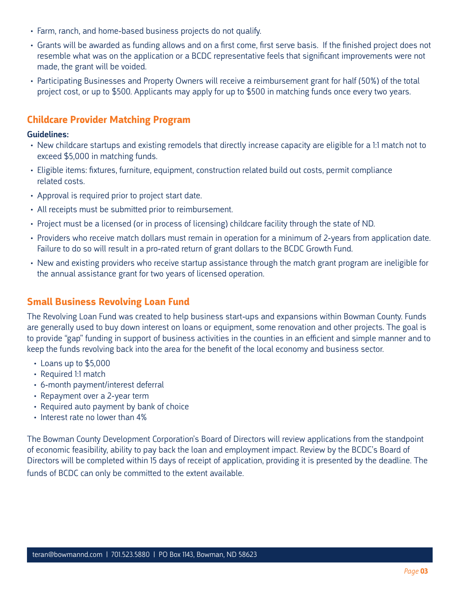- Farm, ranch, and home-based business projects do not qualify.
- Grants will be awarded as funding allows and on a first come, first serve basis. If the finished project does not resemble what was on the application or a BCDC representative feels that significant improvements were not made, the grant will be voided.
- Participating Businesses and Property Owners will receive a reimbursement grant for half (50%) of the total project cost, or up to \$500. Applicants may apply for up to \$500 in matching funds once every two years.

# **Childcare Provider Matching Program**

#### Guidelines:

- New childcare startups and existing remodels that directly increase capacity are eligible for a 1:1 match not to exceed \$5,000 in matching funds.
- Eligible items: fixtures, furniture, equipment, construction related build out costs, permit compliance related costs.
- Approval is required prior to project start date.
- All receipts must be submitted prior to reimbursement.
- Project must be a licensed (or in process of licensing) childcare facility through the state of ND.
- Providers who receive match dollars must remain in operation for a minimum of 2-years from application date. Failure to do so will result in a pro-rated return of grant dollars to the BCDC Growth Fund.
- New and existing providers who receive startup assistance through the match grant program are ineligible for the annual assistance grant for two years of licensed operation.

# **Small Business Revolving Loan Fund**

The Revolving Loan Fund was created to help business start-ups and expansions within Bowman County. Funds are generally used to buy down interest on loans or equipment, some renovation and other projects. The goal is to provide "gap" funding in support of business activities in the counties in an efficient and simple manner and to keep the funds revolving back into the area for the benefit of the local economy and business sector.

- Loans up to \$5,000
- Required 1:1 match
- 6-month payment/interest deferral
- Repayment over a 2-year term
- Required auto payment by bank of choice
- Interest rate no lower than 4%

The Bowman County Development Corporation's Board of Directors will review applications from the standpoint of economic feasibility, ability to pay back the loan and employment impact. Review by the BCDC's Board of Directors will be completed within 15 days of receipt of application, providing it is presented by the deadline. The funds of BCDC can only be committed to the extent available.